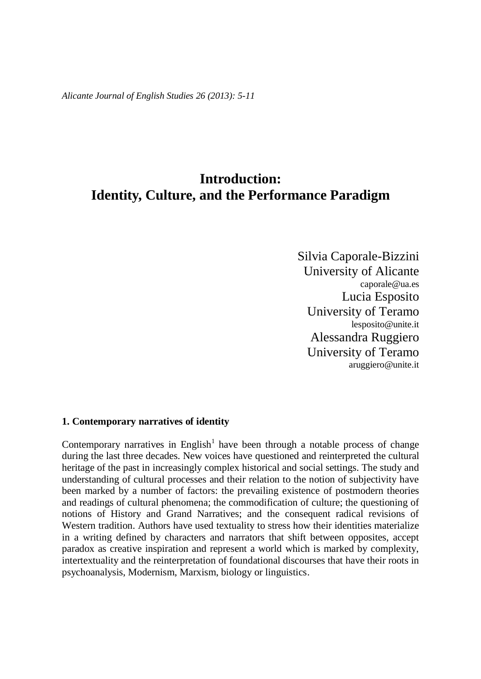*Alicante Journal of English Studies 26 (2013): 5-11*

# **Introduction: Identity, Culture, and the Performance Paradigm**

Silvia Caporale-Bizzini University of Alicante [caporale@ua.es](mailto:caporale@ua.es) Lucia Esposito University of Teramo lesposito@unite.it Alessandra Ruggiero University of Teramo aruggiero@unite.it

# **1. Contemporary narratives of identity**

Contemporary narratives in English<sup>1</sup> have been through a notable process of change during the last three decades. New voices have questioned and reinterpreted the cultural heritage of the past in increasingly complex historical and social settings. The study and understanding of cultural processes and their relation to the notion of subjectivity have been marked by a number of factors: the prevailing existence of postmodern theories and readings of cultural phenomena; the commodification of culture; the questioning of notions of History and Grand Narratives; and the consequent radical revisions of Western tradition. Authors have used textuality to stress how their identities materialize in a writing defined by characters and narrators that shift between opposites, accept paradox as creative inspiration and represent a world which is marked by complexity, intertextuality and the reinterpretation of foundational discourses that have their roots in psychoanalysis, Modernism, Marxism, biology or linguistics.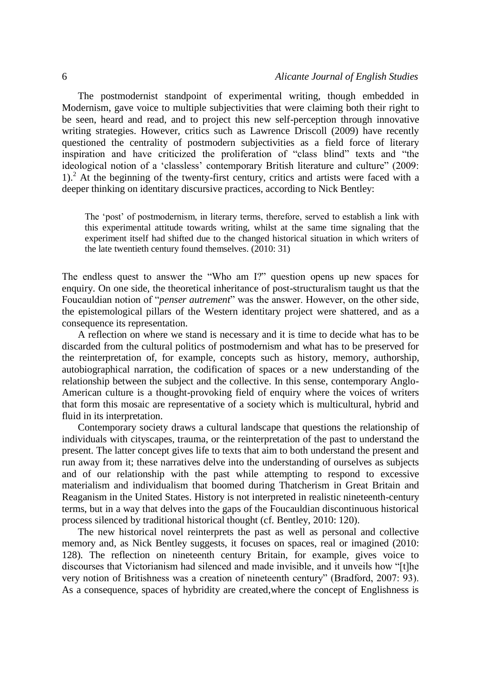The postmodernist standpoint of experimental writing, though embedded in Modernism, gave voice to multiple subjectivities that were claiming both their right to be seen, heard and read, and to project this new self-perception through innovative writing strategies. However, critics such as Lawrence Driscoll (2009) have recently questioned the centrality of postmodern subjectivities as a field force of literary inspiration and have criticized the proliferation of "class blind" texts and "the ideological notion of a 'classless' contemporary British literature and culture" (2009: 1).<sup>2</sup> At the beginning of the twenty-first century, critics and artists were faced with a deeper thinking on identitary discursive practices, according to Nick Bentley:

The 'post' of postmodernism, in literary terms, therefore, served to establish a link with this experimental attitude towards writing, whilst at the same time signaling that the experiment itself had shifted due to the changed historical situation in which writers of the late twentieth century found themselves. (2010: 31)

The endless quest to answer the "Who am I?" question opens up new spaces for enquiry. On one side, the theoretical inheritance of post-structuralism taught us that the Foucauldian notion of "*penser autrement*" was the answer. However, on the other side, the epistemological pillars of the Western identitary project were shattered, and as a consequence its representation.

A reflection on where we stand is necessary and it is time to decide what has to be discarded from the cultural politics of postmodernism and what has to be preserved for the reinterpretation of, for example, concepts such as history, memory, authorship, autobiographical narration, the codification of spaces or a new understanding of the relationship between the subject and the collective. In this sense, contemporary Anglo-American culture is a thought-provoking field of enquiry where the voices of writers that form this mosaic are representative of a society which is multicultural, hybrid and fluid in its interpretation.

Contemporary society draws a cultural landscape that questions the relationship of individuals with cityscapes, trauma, or the reinterpretation of the past to understand the present. The latter concept gives life to texts that aim to both understand the present and run away from it; these narratives delve into the understanding of ourselves as subjects and of our relationship with the past while attempting to respond to excessive materialism and individualism that boomed during Thatcherism in Great Britain and Reaganism in the United States. History is not interpreted in realistic nineteenth-century terms, but in a way that delves into the gaps of the Foucauldian discontinuous historical process silenced by traditional historical thought (cf. Bentley, 2010: 120).

The new historical novel reinterprets the past as well as personal and collective memory and, as Nick Bentley suggests, it focuses on spaces, real or imagined (2010: 128). The reflection on nineteenth century Britain, for example, gives voice to discourses that Victorianism had silenced and made invisible, and it unveils how "[t]he very notion of Britishness was a creation of nineteenth century" (Bradford, 2007: 93). As a consequence, spaces of hybridity are created,where the concept of Englishness is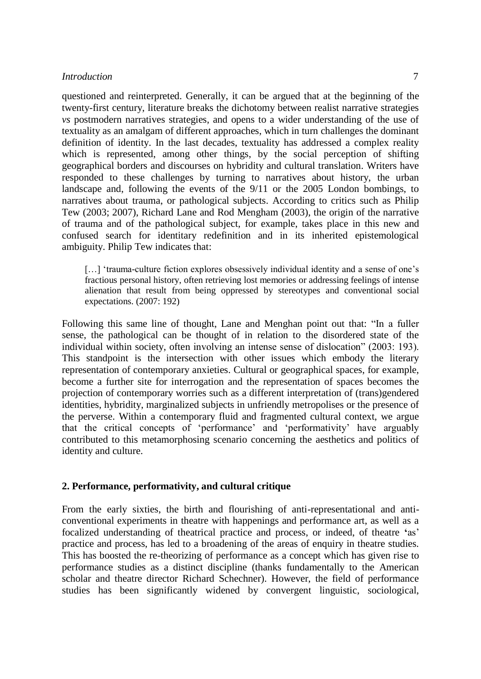# *Introduction* 7

questioned and reinterpreted. Generally, it can be argued that at the beginning of the twenty-first century, literature breaks the dichotomy between realist narrative strategies *vs* postmodern narratives strategies, and opens to a wider understanding of the use of textuality as an amalgam of different approaches, which in turn challenges the dominant definition of identity. In the last decades, textuality has addressed a complex reality which is represented, among other things, by the social perception of shifting geographical borders and discourses on hybridity and cultural translation. Writers have responded to these challenges by turning to narratives about history, the urban landscape and, following the events of the 9/11 or the 2005 London bombings, to narratives about trauma, or pathological subjects. According to critics such as Philip Tew (2003; 2007), Richard Lane and Rod Mengham (2003), the origin of the narrative of trauma and of the pathological subject, for example, takes place in this new and confused search for identitary redefinition and in its inherited epistemological ambiguity. Philip Tew indicates that:

[...] 'trauma-culture fiction explores obsessively individual identity and a sense of one's fractious personal history, often retrieving lost memories or addressing feelings of intense alienation that result from being oppressed by stereotypes and conventional social expectations. (2007: 192)

Following this same line of thought, Lane and Menghan point out that: "In a fuller sense, the pathological can be thought of in relation to the disordered state of the individual within society, often involving an intense sense of dislocation" (2003: 193). This standpoint is the intersection with other issues which embody the literary representation of contemporary anxieties. Cultural or geographical spaces, for example, become a further site for interrogation and the representation of spaces becomes the projection of contemporary worries such as a different interpretation of (trans)gendered identities, hybridity, marginalized subjects in unfriendly metropolises or the presence of the perverse. Within a contemporary fluid and fragmented cultural context, we argue that the critical concepts of 'performance' and 'performativity' have arguably contributed to this metamorphosing scenario concerning the aesthetics and politics of identity and culture.

#### **2. Performance, performativity, and cultural critique**

From the early sixties, the birth and flourishing of anti-representational and anticonventional experiments in theatre with happenings and performance art, as well as a focalized understanding of theatrical practice and process, or indeed, of theatre **'**as' practice and process, has led to a broadening of the areas of enquiry in theatre studies. This has boosted the re-theorizing of performance as a concept which has given rise to performance studies as a distinct discipline (thanks fundamentally to the American scholar and theatre director Richard Schechner). However, the field of performance studies has been significantly widened by convergent linguistic, sociological,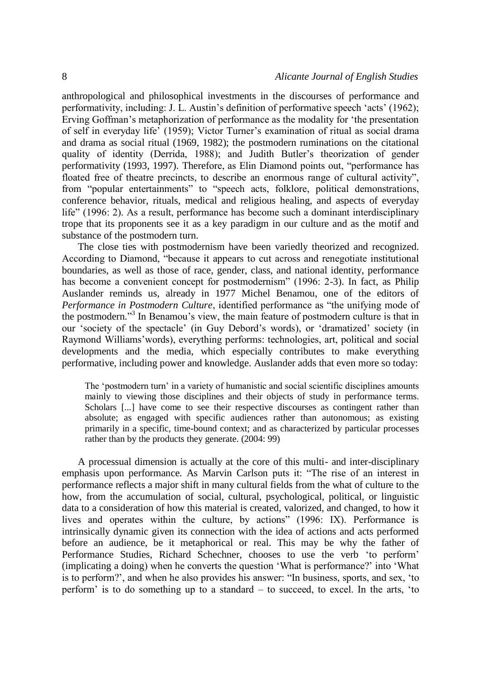anthropological and philosophical investments in the discourses of performance and performativity, including: J. L. Austin's definition of performative speech 'acts' (1962); Erving Goffman's metaphorization of performance as the modality for 'the presentation of self in everyday life' (1959); Victor Turner's examination of ritual as social drama and drama as social ritual (1969, 1982); the postmodern ruminations on the citational quality of identity (Derrida, 1988); and Judith Butler's theorization of gender performativity (1993, 1997). Therefore, as Elin Diamond points out, "performance has floated free of theatre precincts, to describe an enormous range of cultural activity", from "popular entertainments" to "speech acts, folklore, political demonstrations, conference behavior, rituals, medical and religious healing, and aspects of everyday life" (1996: 2). As a result, performance has become such a dominant interdisciplinary trope that its proponents see it as a key paradigm in our culture and as the motif and substance of the postmodern turn.

The close ties with postmodernism have been variedly theorized and recognized. According to Diamond, "because it appears to cut across and renegotiate institutional boundaries, as well as those of race, gender, class, and national identity, performance has become a convenient concept for postmodernism" (1996: 2-3). In fact, as Philip Auslander reminds us, already in 1977 Michel Benamou, one of the editors of *Performance in Postmodern Culture*, identified performance as "the unifying mode of the postmodern." 3 In Benamou's view, the main feature of postmodern culture is that in our 'society of the spectacle' (in Guy Debord's words), or 'dramatized' society (in Raymond Williams'words), everything performs: technologies, art, political and social developments and the media, which especially contributes to make everything performative, including power and knowledge. Auslander adds that even more so today:

The 'postmodern turn' in a variety of humanistic and social scientific disciplines amounts mainly to viewing those disciplines and their objects of study in performance terms. Scholars [...] have come to see their respective discourses as contingent rather than absolute; as engaged with specific audiences rather than autonomous; as existing primarily in a specific, time-bound context; and as characterized by particular processes rather than by the products they generate. (2004: 99)

A processual dimension is actually at the core of this multi- and inter-disciplinary emphasis upon performance. As Marvin Carlson puts it: "The rise of an interest in performance reflects a major shift in many cultural fields from the what of culture to the how, from the accumulation of social, cultural, psychological, political, or linguistic data to a consideration of how this material is created, valorized, and changed, to how it lives and operates within the culture, by actions" (1996: IX). Performance is intrinsically dynamic given its connection with the idea of actions and acts performed before an audience, be it metaphorical or real. This may be why the father of Performance Studies, Richard Schechner, chooses to use the verb 'to perform' (implicating a doing) when he converts the question 'What is performance?' into 'What is to perform?', and when he also provides his answer: "In business, sports, and sex, 'to perform' is to do something up to a standard – to succeed, to excel. In the arts, 'to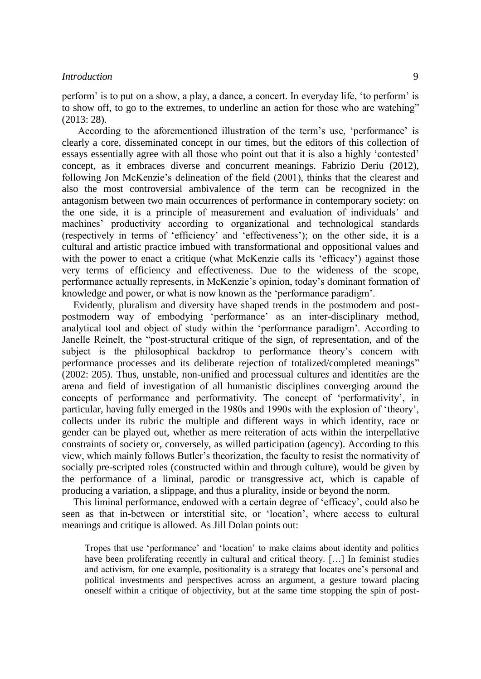### *Introduction* 9

perform' is to put on a show, a play, a dance, a concert. In everyday life, 'to perform' is to show off, to go to the extremes, to underline an action for those who are watching" (2013: 28).

According to the aforementioned illustration of the term's use, 'performance' is clearly a core, disseminated concept in our times, but the editors of this collection of essays essentially agree with all those who point out that it is also a highly 'contested' concept, as it embraces diverse and concurrent meanings. Fabrizio Deriu (2012), following Jon McKenzie's delineation of the field (2001), thinks that the clearest and also the most controversial ambivalence of the term can be recognized in the antagonism between two main occurrences of performance in contemporary society: on the one side, it is a principle of measurement and evaluation of individuals' and machines' productivity according to organizational and technological standards (respectively in terms of 'efficiency' and 'effectiveness'); on the other side, it is a cultural and artistic practice imbued with transformational and oppositional values and with the power to enact a critique (what McKenzie calls its 'efficacy') against those very terms of efficiency and effectiveness. Due to the wideness of the scope, performance actually represents, in McKenzie's opinion, today's dominant formation of knowledge and power, or what is now known as the 'performance paradigm'.

Evidently, pluralism and diversity have shaped trends in the postmodern and postpostmodern way of embodying 'performance' as an inter-disciplinary method, analytical tool and object of study within the 'performance paradigm'. According to Janelle Reinelt, the "post-structural critique of the sign, of representation, and of the subject is the philosophical backdrop to performance theory's concern with performance processes and its deliberate rejection of totalized/completed meanings" (2002: 205). Thus, unstable, non-unified and processual culture*s* and identit*ies* are the arena and field of investigation of all humanistic disciplines converging around the concepts of performance and performativity. The concept of 'performativity', in particular, having fully emerged in the 1980s and 1990s with the explosion of 'theory', collects under its rubric the multiple and different ways in which identity, race or gender can be played out, whether as mere reiteration of acts within the interpellative constraints of society or, conversely, as willed participation (agency). According to this view, which mainly follows Butler's theorization, the faculty to resist the normativity of socially pre-scripted roles (constructed within and through culture), would be given by the performance of a liminal, parodic or transgressive act, which is capable of producing a variation, a slippage, and thus a plurality, inside or beyond the norm.

This liminal performance, endowed with a certain degree of 'efficacy', could also be seen as that in-between or interstitial site, or 'location', where access to cultural meanings and critique is allowed. As Jill Dolan points out:

Tropes that use 'performance' and 'location' to make claims about identity and politics have been proliferating recently in cultural and critical theory. [...] In feminist studies and activism, for one example, positionality is a strategy that locates one's personal and political investments and perspectives across an argument, a gesture toward placing oneself within a critique of objectivity, but at the same time stopping the spin of post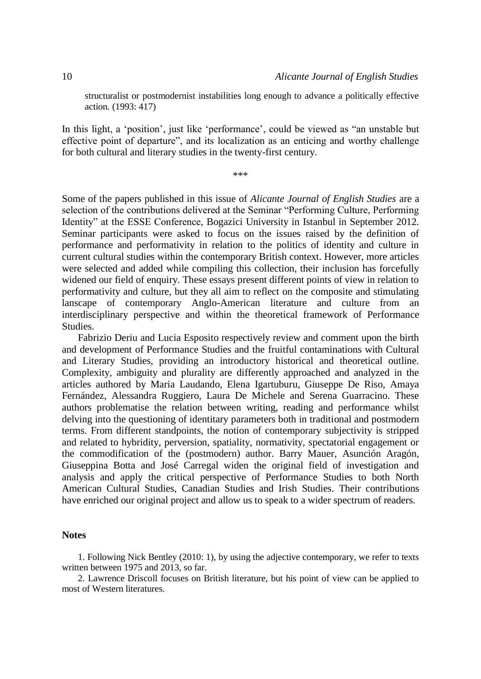structuralist or postmodernist instabilities long enough to advance a politically effective action. (1993: 417)

In this light, a 'position', just like 'performance', could be viewed as "an unstable but effective point of departure", and its localization as an enticing and worthy challenge for both cultural and literary studies in the twenty-first century.

\*\*\*

Some of the papers published in this issue of *Alicante Journal of English Studies* are a selection of the contributions delivered at the Seminar "Performing Culture, Performing Identity" at the ESSE Conference, Bogazici University in Istanbul in September 2012. Seminar participants were asked to focus on the issues raised by the definition of performance and performativity in relation to the politics of identity and culture in current cultural studies within the contemporary British context. However, more articles were selected and added while compiling this collection, their inclusion has forcefully widened our field of enquiry. These essays present different points of view in relation to performativity and culture, but they all aim to reflect on the composite and stimulating lanscape of contemporary Anglo-American literature and culture from an interdisciplinary perspective and within the theoretical framework of Performance Studies.

Fabrizio Deriu and Lucia Esposito respectively review and comment upon the birth and development of Performance Studies and the fruitful contaminations with Cultural and Literary Studies, providing an introductory historical and theoretical outline. Complexity, ambiguity and plurality are differently approached and analyzed in the articles authored by Maria Laudando, Elena Igartuburu, Giuseppe De Riso, Amaya Fernández, Alessandra Ruggiero, Laura De Michele and Serena Guarracino. These authors problematise the relation between writing, reading and performance whilst delving into the questioning of identitary parameters both in traditional and postmodern terms. From different standpoints, the notion of contemporary subjectivity is stripped and related to hybridity, perversion, spatiality, normativity, spectatorial engagement or the commodification of the (postmodern) author. Barry Mauer, Asunción Aragón, Giuseppina Botta and José Carregal widen the original field of investigation and analysis and apply the critical perspective of Performance Studies to both North American Cultural Studies, Canadian Studies and Irish Studies. Their contributions have enriched our original project and allow us to speak to a wider spectrum of readers.

#### **Notes**

1. Following Nick Bentley (2010: 1), by using the adjective contemporary, we refer to texts written between 1975 and 2013, so far.

2. Lawrence Driscoll focuses on British literature, but his point of view can be applied to most of Western literatures.